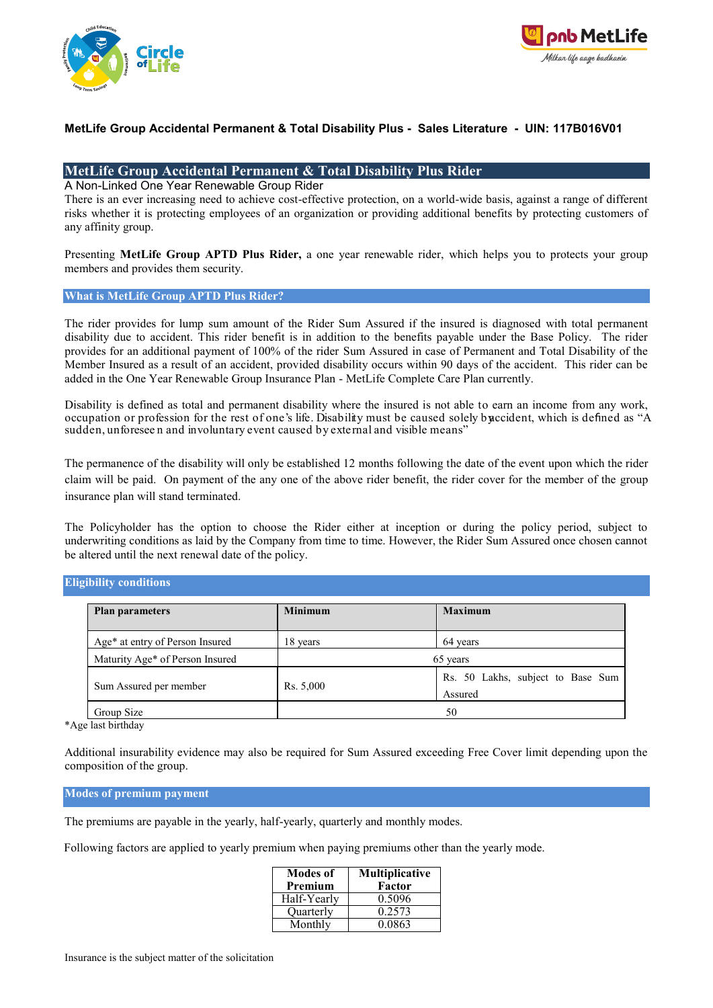



### **MetLife Group Accidental Permanent & Total Disability Plus - Sales Literature - UIN: 117B016V01**

### **MetLife Group Accidental Permanent & Total Disability Plus Rider**

A Non-Linked One Year Renewable Group Rider

There is an ever increasing need to achieve cost-effective protection, on a world-wide basis, against a range of different risks whether it is protecting employees of an organization or providing additional benefits by protecting customers of any affinity group.

Presenting **MetLife Group APTD Plus Rider,** a one year renewable rider, which helps you to protects your group members and provides them security.

#### **What is MetLife Group APTD Plus Rider?**

The rider provides for lump sum amount of the Rider Sum Assured if the insured is diagnosed with total permanent disability due to accident. This rider benefit is in addition to the benefits payable under the Base Policy. The rider provides for an additional payment of 100% of the rider Sum Assured in case of Permanent and Total Disability of the Member Insured as a result of an accident, provided disability occurs within 90 days of the accident. This rider can be added in the One Year Renewable Group Insurance Plan - MetLife Complete Care Plan currently.

Disability is defined as total and permanent disability where the insured is not able to earn an income from any work, occupation or profession for the rest of one's life. Disability must be caused solely buccident, which is defined as "A sudden, unforesee n and involuntary event caused by external and visible means"

The permanence of the disability will only be established 12 months following the date of the event upon which the rider claim will be paid. On payment of the any one of the above rider benefit, the rider cover for the member of the group insurance plan will stand terminated.

The Policyholder has the option to choose the Rider either at inception or during the policy period, subject to underwriting conditions as laid by the Company from time to time. However, the Rider Sum Assured once chosen cannot be altered until the next renewal date of the policy.

### **Eligibility conditions**

| <b>Plan parameters</b>          | <b>Minimum</b> | <b>Maximum</b>                               |
|---------------------------------|----------------|----------------------------------------------|
| Age* at entry of Person Insured | 18 years       | 64 years                                     |
| Maturity Age* of Person Insured |                | 65 years                                     |
| Sum Assured per member          | Rs. 5,000      | Rs. 50 Lakhs, subject to Base Sum<br>Assured |
| Group Size                      |                | 50                                           |

\*Age last birthday

Additional insurability evidence may also be required for Sum Assured exceeding Free Cover limit depending upon the composition of the group.

#### **Modes of premium payment**

The premiums are payable in the yearly, half-yearly, quarterly and monthly modes.

Following factors are applied to yearly premium when paying premiums other than the yearly mode.

| <b>Modes of</b><br>Premium | <b>Multiplicative</b><br>Factor |
|----------------------------|---------------------------------|
| Half-Yearly                | 0.5096                          |
| Ouarterly                  | 0.2573                          |
| Monthly                    | 0.0863                          |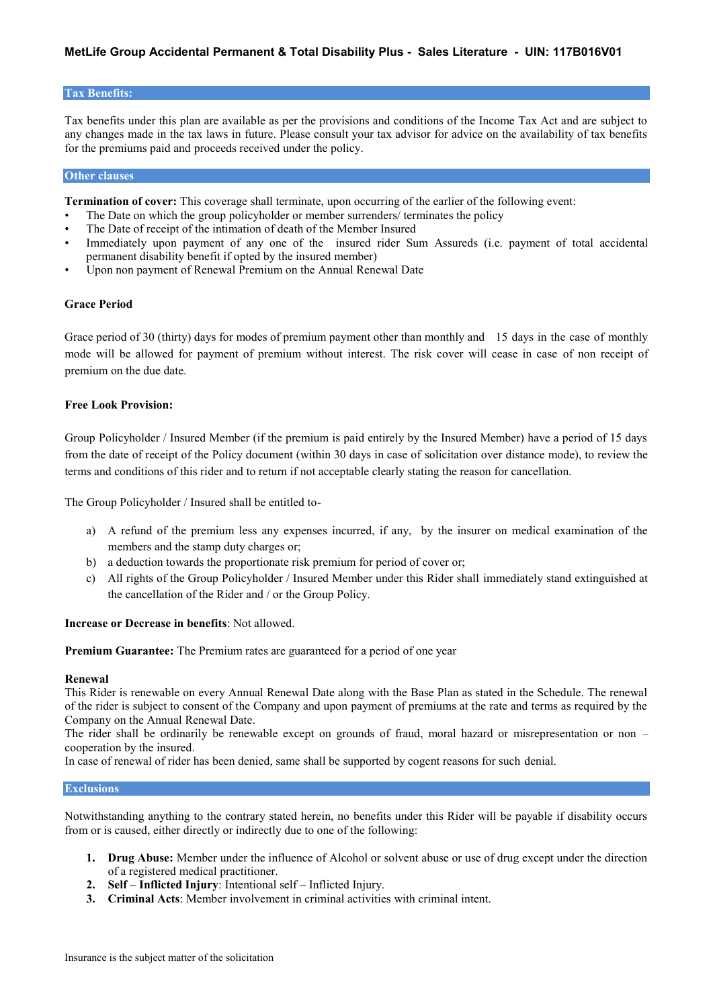#### **Tax Benefits:**

Tax benefits under this plan are available as per the provisions and conditions of the Income Tax Act and are subject to any changes made in the tax laws in future. Please consult your tax advisor for advice on the availability of tax benefits for the premiums paid and proceeds received under the policy.

#### **Other clauses**

**Termination of cover:** This coverage shall terminate, upon occurring of the earlier of the following event:

- The Date on which the group policyholder or member surrenders/ terminates the policy
- The Date of receipt of the intimation of death of the Member Insured
- Immediately upon payment of any one of the insured rider Sum Assureds (i.e. payment of total accidental permanent disability benefit if opted by the insured member)
- Upon non payment of Renewal Premium on the Annual Renewal Date

#### **Grace Period**

Grace period of 30 (thirty) days for modes of premium payment other than monthly and 15 days in the case of monthly mode will be allowed for payment of premium without interest. The risk cover will cease in case of non receipt of premium on the due date.

#### **Free Look Provision:**

Group Policyholder / Insured Member (if the premium is paid entirely by the Insured Member) have a period of 15 days from the date of receipt of the Policy document (within 30 days in case of solicitation over distance mode), to review the terms and conditions of this rider and to return if not acceptable clearly stating the reason for cancellation.

The Group Policyholder / Insured shall be entitled to-

- a) A refund of the premium less any expenses incurred, if any, by the insurer on medical examination of the members and the stamp duty charges or;
- b) a deduction towards the proportionate risk premium for period of cover or;
- c) All rights of the Group Policyholder / Insured Member under this Rider shall immediately stand extinguished at the cancellation of the Rider and / or the Group Policy.

#### **Increase or Decrease in benefits**: Not allowed.

**Premium Guarantee:** The Premium rates are guaranteed for a period of one year

#### **Renewal**

This Rider is renewable on every Annual Renewal Date along with the Base Plan as stated in the Schedule. The renewal of the rider is subject to consent of the Company and upon payment of premiums at the rate and terms as required by the Company on the Annual Renewal Date.

The rider shall be ordinarily be renewable except on grounds of fraud, moral hazard or misrepresentation or non – cooperation by the insured.

In case of renewal of rider has been denied, same shall be supported by cogent reasons for such denial.

#### **Exclusions**

Notwithstanding anything to the contrary stated herein, no benefits under this Rider will be payable if disability occurs from or is caused, either directly or indirectly due to one of the following:

- **1. Drug Abuse:** Member under the influence of Alcohol or solvent abuse or use of drug except under the direction of a registered medical practitioner.
- **2. Self Inflicted Injury**: Intentional self Inflicted Injury.
- **3. Criminal Acts**: Member involvement in criminal activities with criminal intent.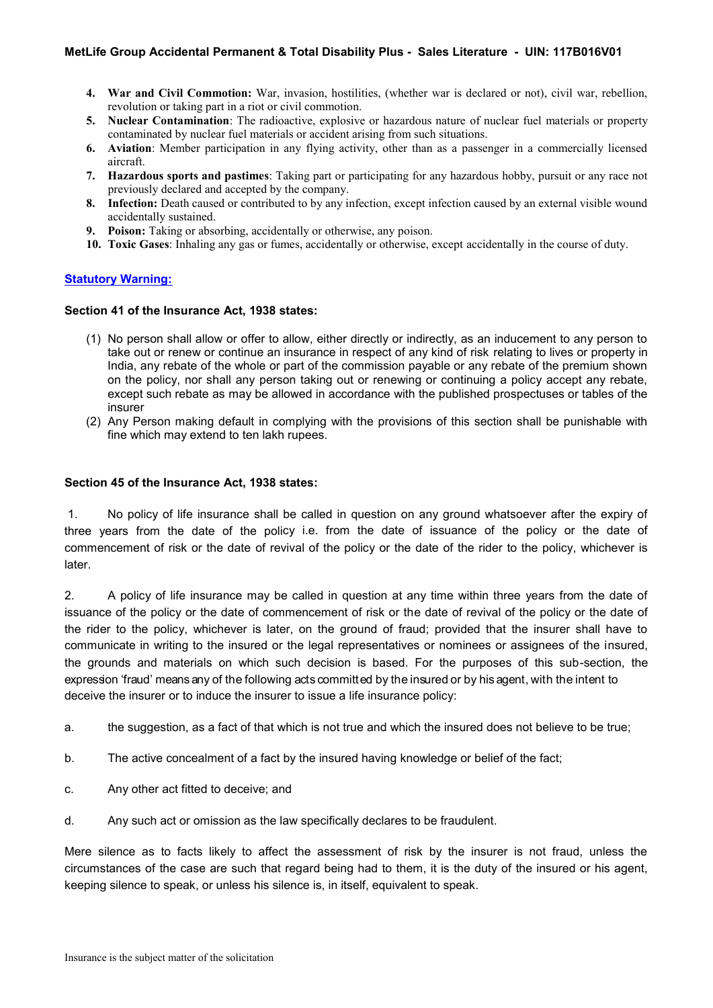- **4. War and Civil Commotion:** War, invasion, hostilities, (whether war is declared or not), civil war, rebellion, revolution or taking part in a riot or civil commotion.
- **5. Nuclear Contamination**: The radioactive, explosive or hazardous nature of nuclear fuel materials or property contaminated by nuclear fuel materials or accident arising from such situations.
- **6. Aviation**: Member participation in any flying activity, other than as a passenger in a commercially licensed aircraft.
- **7. Hazardous sports and pastimes**: Taking part or participating for any hazardous hobby, pursuit or any race not previously declared and accepted by the company.
- **8. Infection:** Death caused or contributed to by any infection, except infection caused by an external visible wound accidentally sustained.
- **9. Poison:** Taking or absorbing, accidentally or otherwise, any poison.
- **10. Toxic Gases**: Inhaling any gas or fumes, accidentally or otherwise, except accidentally in the course of duty.

## **Statutory Warning:**

### **Section 41 of the Insurance Act, 1938 states:**

- (1) No person shall allow or offer to allow, either directly or indirectly, as an inducement to any person to take out or renew or continue an insurance in respect of any kind of risk relating to lives or property in India, any rebate of the whole or part of the commission payable or any rebate of the premium shown on the policy, nor shall any person taking out or renewing or continuing a policy accept any rebate, except such rebate as may be allowed in accordance with the published prospectuses or tables of the insurer
- (2) Any Person making default in complying with the provisions of this section shall be punishable with fine which may extend to ten lakh rupees.

### **Section 45 of the Insurance Act, 1938 states:**

1. No policy of life insurance shall be called in question on any ground whatsoever after the expiry of three years from the date of the policy i.e. from the date of issuance of the policy or the date of commencement of risk or the date of revival of the policy or the date of the rider to the policy, whichever is later.

2. A policy of life insurance may be called in question at any time within three years from the date of issuance of the policy or the date of commencement of risk or the date of revival of the policy or the date of the rider to the policy, whichever is later, on the ground of fraud; provided that the insurer shall have to communicate in writing to the insured or the legal representatives or nominees or assignees of the insured, the grounds and materials on which such decision is based. For the purposes of this sub-section, the expression 'fraud' means any of the following acts committed by the insured or by his agent, with the intent to deceive the insurer or to induce the insurer to issue a life insurance policy:

- a. the suggestion, as a fact of that which is not true and which the insured does not believe to be true;
- b. The active concealment of a fact by the insured having knowledge or belief of the fact;
- c. Any other act fitted to deceive; and
- d. Any such act or omission as the law specifically declares to be fraudulent.

Mere silence as to facts likely to affect the assessment of risk by the insurer is not fraud, unless the circumstances of the case are such that regard being had to them, it is the duty of the insured or his agent, keeping silence to speak, or unless his silence is, in itself, equivalent to speak.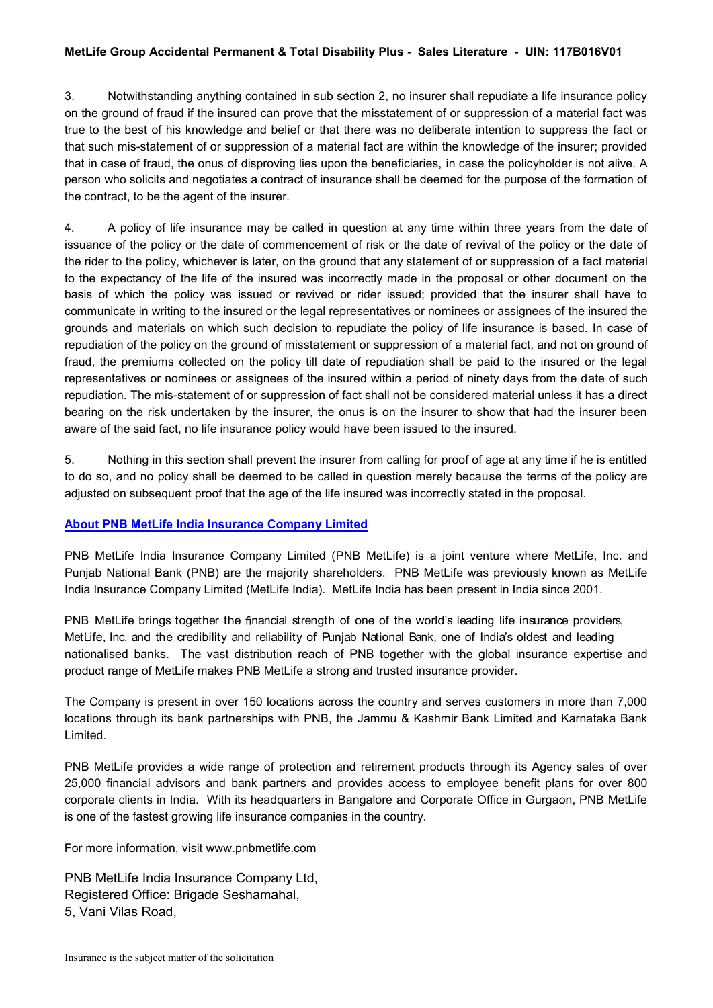### **MetLife Group Accidental Permanent & Total Disability Plus - Sales Literature - UIN: 117B016V01**

3. Notwithstanding anything contained in sub section 2, no insurer shall repudiate a life insurance policy on the ground of fraud if the insured can prove that the misstatement of or suppression of a material fact was true to the best of his knowledge and belief or that there was no deliberate intention to suppress the fact or that such mis-statement of or suppression of a material fact are within the knowledge of the insurer; provided that in case of fraud, the onus of disproving lies upon the beneficiaries, in case the policyholder is not alive. A person who solicits and negotiates a contract of insurance shall be deemed for the purpose of the formation of the contract, to be the agent of the insurer.

4. A policy of life insurance may be called in question at any time within three years from the date of issuance of the policy or the date of commencement of risk or the date of revival of the policy or the date of the rider to the policy, whichever is later, on the ground that any statement of or suppression of a fact material to the expectancy of the life of the insured was incorrectly made in the proposal or other document on the basis of which the policy was issued or revived or rider issued; provided that the insurer shall have to communicate in writing to the insured or the legal representatives or nominees or assignees of the insured the grounds and materials on which such decision to repudiate the policy of life insurance is based. In case of repudiation of the policy on the ground of misstatement or suppression of a material fact, and not on ground of fraud, the premiums collected on the policy till date of repudiation shall be paid to the insured or the legal representatives or nominees or assignees of the insured within a period of ninety days from the date of such repudiation. The mis-statement of or suppression of fact shall not be considered material unless it has a direct bearing on the risk undertaken by the insurer, the onus is on the insurer to show that had the insurer been aware of the said fact, no life insurance policy would have been issued to the insured.

5. Nothing in this section shall prevent the insurer from calling for proof of age at any time if he is entitled to do so, and no policy shall be deemed to be called in question merely because the terms of the policy are adjusted on subsequent proof that the age of the life insured was incorrectly stated in the proposal.

## **About PNB MetLife India Insurance Company Limited**

PNB MetLife India Insurance Company Limited (PNB MetLife) is a joint venture where MetLife, Inc. and Punjab National Bank (PNB) are the majority shareholders. PNB MetLife was previously known as MetLife India Insurance Company Limited (MetLife India). MetLife India has been present in India since 2001.

PNB MetLife brings together the financial strength of one of the world's leading life insurance providers, MetLife, Inc. and the credibility and reliability of Punjab National Bank, one of India's oldest and leading nationalised banks. The vast distribution reach of PNB together with the global insurance expertise and product range of MetLife makes PNB MetLife a strong and trusted insurance provider.

The Company is present in over 150 locations across the country and serves customers in more than 7,000 locations through its bank partnerships with PNB, the Jammu & Kashmir Bank Limited and Karnataka Bank Limited.

PNB MetLife provides a wide range of protection and retirement products through its Agency sales of over 25,000 financial advisors and bank partners and provides access to employee benefit plans for over 800 corporate clients in India. With its headquarters in Bangalore and Corporate Office in Gurgaon, PNB MetLife is one of the fastest growing life insurance companies in the country.

For more information, visit www.pnbmetlife.com

PNB MetLife India Insurance Company Ltd, Registered Office: Brigade Seshamahal, 5, Vani Vilas Road,